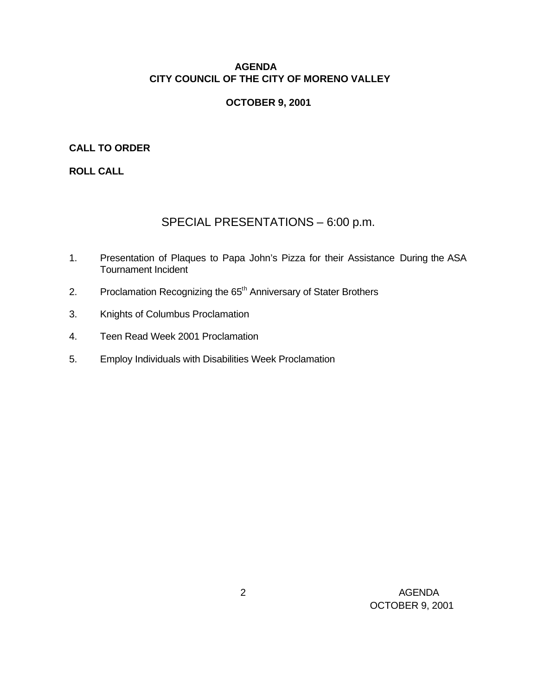# **AGENDA CITY COUNCIL OF THE CITY OF MORENO VALLEY**

# **OCTOBER 9, 2001**

# **CALL TO ORDER**

**ROLL CALL**

# SPECIAL PRESENTATIONS – 6:00 p.m.

- 1. Presentation of Plaques to Papa John's Pizza for their Assistance During the ASA Tournament Incident
- 2. Proclamation Recognizing the 65<sup>th</sup> Anniversary of Stater Brothers
- 3. Knights of Columbus Proclamation
- 4. Teen Read Week 2001 Proclamation
- 5. Employ Individuals with Disabilities Week Proclamation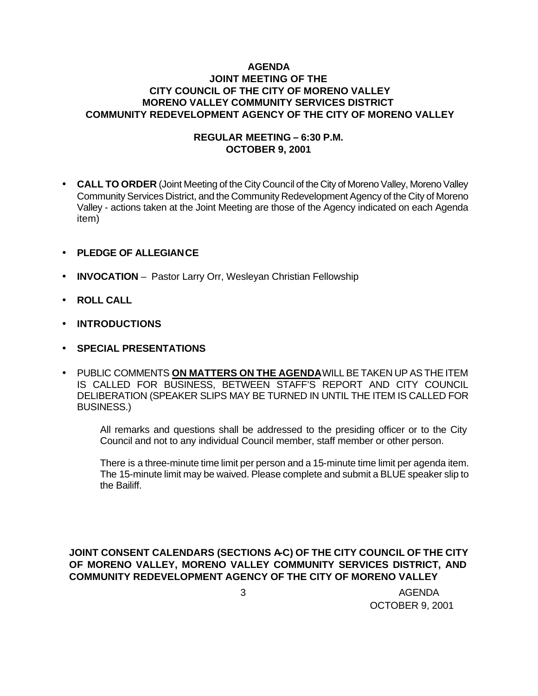## **AGENDA JOINT MEETING OF THE CITY COUNCIL OF THE CITY OF MORENO VALLEY MORENO VALLEY COMMUNITY SERVICES DISTRICT COMMUNITY REDEVELOPMENT AGENCY OF THE CITY OF MORENO VALLEY**

# **REGULAR MEETING – 6:30 P.M. OCTOBER 9, 2001**

- **CALL TO ORDER** (Joint Meeting of the City Council of the City of Moreno Valley, Moreno Valley Community Services District, and the Community Redevelopment Agency of the City of Moreno Valley - actions taken at the Joint Meeting are those of the Agency indicated on each Agenda item)
- **PLEDGE OF ALLEGIANCE**
- **INVOCATION** Pastor Larry Orr, Wesleyan Christian Fellowship
- **ROLL CALL**
- **INTRODUCTIONS**
- **SPECIAL PRESENTATIONS**
- PUBLIC COMMENTS **ON MATTERS ON THE AGENDA** WILL BE TAKEN UP AS THE ITEM IS CALLED FOR BUSINESS, BETWEEN STAFF'S REPORT AND CITY COUNCIL DELIBERATION (SPEAKER SLIPS MAY BE TURNED IN UNTIL THE ITEM IS CALLED FOR BUSINESS.)

All remarks and questions shall be addressed to the presiding officer or to the City Council and not to any individual Council member, staff member or other person.

There is a three-minute time limit per person and a 15-minute time limit per agenda item. The 15-minute limit may be waived. Please complete and submit a BLUE speaker slip to the Bailiff.

# **JOINT CONSENT CALENDARS (SECTIONS A-C) OF THE CITY COUNCIL OF THE CITY OF MORENO VALLEY, MORENO VALLEY COMMUNITY SERVICES DISTRICT, AND COMMUNITY REDEVELOPMENT AGENCY OF THE CITY OF MORENO VALLEY**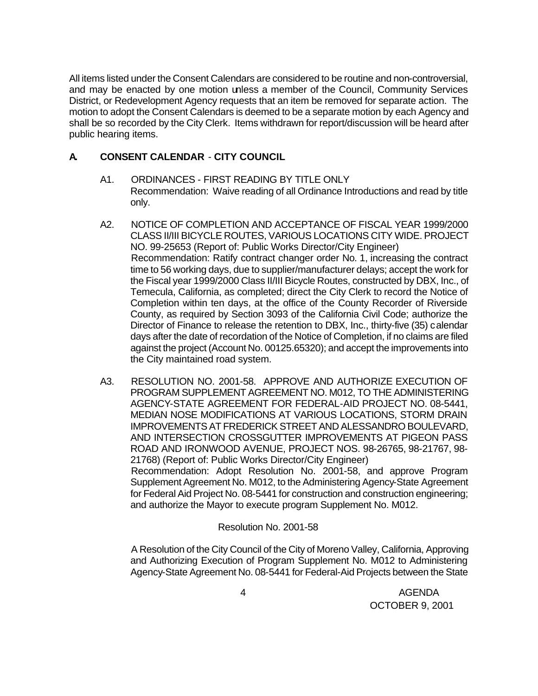All items listed under the Consent Calendars are considered to be routine and non-controversial, and may be enacted by one motion unless a member of the Council, Community Services District, or Redevelopment Agency requests that an item be removed for separate action. The motion to adopt the Consent Calendars is deemed to be a separate motion by each Agency and shall be so recorded by the City Clerk. Items withdrawn for report/discussion will be heard after public hearing items.

# **A. CONSENT CALENDAR** - **CITY COUNCIL**

- A1. ORDINANCES FIRST READING BY TITLE ONLY Recommendation: Waive reading of all Ordinance Introductions and read by title only.
- A2. NOTICE OF COMPLETION AND ACCEPTANCE OF FISCAL YEAR 1999/2000 CLASS II/III BICYCLE ROUTES, VARIOUS LOCATIONS CITY WIDE. PROJECT NO. 99-25653 (Report of: Public Works Director/City Engineer) Recommendation: Ratify contract changer order No. 1, increasing the contract time to 56 working days, due to supplier/manufacturer delays; accept the work for the Fiscal year 1999/2000 Class II/III Bicycle Routes, constructed by DBX, Inc., of Temecula, California, as completed; direct the City Clerk to record the Notice of Completion within ten days, at the office of the County Recorder of Riverside County, as required by Section 3093 of the California Civil Code; authorize the Director of Finance to release the retention to DBX, Inc., thirty-five (35) calendar days after the date of recordation of the Notice of Completion, if no claims are filed against the project (Account No. 00125.65320); and accept the improvements into the City maintained road system.
- A3. RESOLUTION NO. 2001-58. APPROVE AND AUTHORIZE EXECUTION OF PROGRAM SUPPLEMENT AGREEMENT NO. M012, TO THE ADMINISTERING AGENCY-STATE AGREEMENT FOR FEDERAL-AID PROJECT NO. 08-5441, MEDIAN NOSE MODIFICATIONS AT VARIOUS LOCATIONS, STORM DRAIN IMPROVEMENTS AT FREDERICK STREET AND ALESSANDRO BOULEVARD, AND INTERSECTION CROSSGUTTER IMPROVEMENTS AT PIGEON PASS ROAD AND IRONWOOD AVENUE, PROJECT NOS. 98-26765, 98-21767, 98- 21768) (Report of: Public Works Director/City Engineer) Recommendation: Adopt Resolution No. 2001-58, and approve Program Supplement Agreement No. M012, to the Administering Agency-State Agreement for Federal Aid Project No. 08-5441 for construction and construction engineering;

## Resolution No. 2001-58

and authorize the Mayor to execute program Supplement No. M012.

A Resolution of the City Council of the City of Moreno Valley, California, Approving and Authorizing Execution of Program Supplement No. M012 to Administering Agency-State Agreement No. 08-5441 for Federal-Aid Projects between the State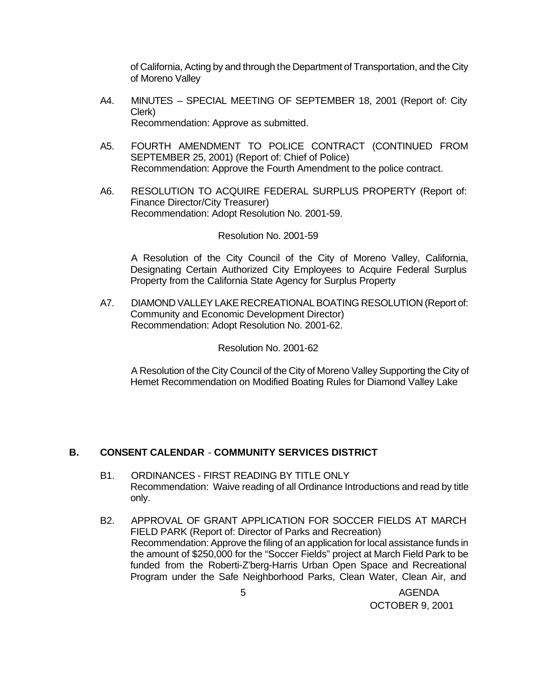of California, Acting by and through the Department of Transportation, and the City of Moreno Valley

- A4. MINUTES SPECIAL MEETING OF SEPTEMBER 18, 2001 (Report of: City Clerk) Recommendation: Approve as submitted.
- A5. FOURTH AMENDMENT TO POLICE CONTRACT (CONTINUED FROM SEPTEMBER 25, 2001) (Report of: Chief of Police) Recommendation: Approve the Fourth Amendment to the police contract.
- A6. RESOLUTION TO ACQUIRE FEDERAL SURPLUS PROPERTY (Report of: Finance Director/City Treasurer) Recommendation: Adopt Resolution No. 2001-59.

#### Resolution No. 2001-59

A Resolution of the City Council of the City of Moreno Valley, California, Designating Certain Authorized City Employees to Acquire Federal Surplus Property from the California State Agency for Surplus Property

A7. DIAMOND VALLEY LAKE RECREATIONAL BOATING RESOLUTION (Report of: Community and Economic Development Director) Recommendation: Adopt Resolution No. 2001-62.

Resolution No. 2001-62

A Resolution of the City Council of the City of Moreno Valley Supporting the City of Hemet Recommendation on Modified Boating Rules for Diamond Valley Lake

## **B. CONSENT CALENDAR** - **COMMUNITY SERVICES DISTRICT**

- B1. ORDINANCES FIRST READING BY TITLE ONLY Recommendation: Waive reading of all Ordinance Introductions and read by title only.
- B2. APPROVAL OF GRANT APPLICATION FOR SOCCER FIELDS AT MARCH FIELD PARK (Report of: Director of Parks and Recreation) Recommendation: Approve the filing of an application for local assistance funds in the amount of \$250,000 for the "Soccer Fields" project at March Field Park to be funded from the Roberti-Z'berg-Harris Urban Open Space and Recreational Program under the Safe Neighborhood Parks, Clean Water, Clean Air, and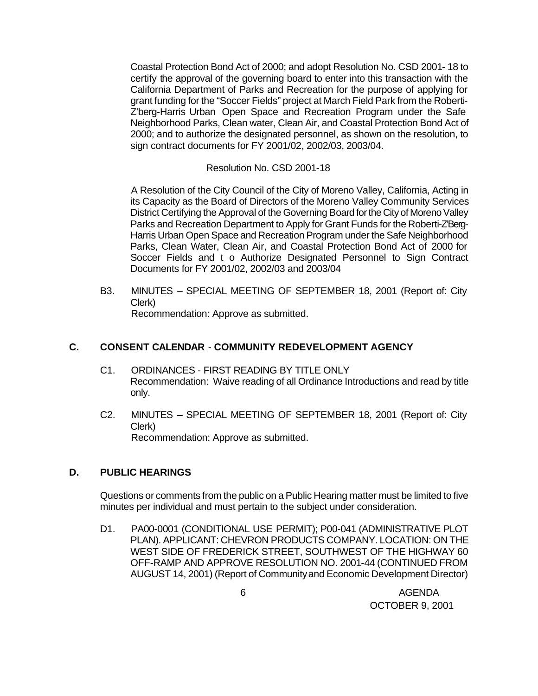Coastal Protection Bond Act of 2000; and adopt Resolution No. CSD 2001- 18 to certify the approval of the governing board to enter into this transaction with the California Department of Parks and Recreation for the purpose of applying for grant funding for the "Soccer Fields" project at March Field Park from the Roberti-Z'berg-Harris Urban Open Space and Recreation Program under the Safe Neighborhood Parks, Clean water, Clean Air, and Coastal Protection Bond Act of 2000; and to authorize the designated personnel, as shown on the resolution, to sign contract documents for FY 2001/02, 2002/03, 2003/04.

Resolution No. CSD 2001-18

A Resolution of the City Council of the City of Moreno Valley, California, Acting in its Capacity as the Board of Directors of the Moreno Valley Community Services District Certifying the Approval of the Governing Board for the City of Moreno Valley Parks and Recreation Department to Apply for Grant Funds for the Roberti-Z'Berg-Harris Urban Open Space and Recreation Program under the Safe Neighborhood Parks, Clean Water, Clean Air, and Coastal Protection Bond Act of 2000 for Soccer Fields and t o Authorize Designated Personnel to Sign Contract Documents for FY 2001/02, 2002/03 and 2003/04

B3. MINUTES – SPECIAL MEETING OF SEPTEMBER 18, 2001 (Report of: City Clerk) Recommendation: Approve as submitted.

## **C. CONSENT CALENDAR** - **COMMUNITY REDEVELOPMENT AGENCY**

- C1. ORDINANCES FIRST READING BY TITLE ONLY Recommendation: Waive reading of all Ordinance Introductions and read by title only.
- C2. MINUTES SPECIAL MEETING OF SEPTEMBER 18, 2001 (Report of: City Clerk) Recommendation: Approve as submitted.

## **D. PUBLIC HEARINGS**

Questions or comments from the public on a Public Hearing matter must be limited to five minutes per individual and must pertain to the subject under consideration.

D1. PA00-0001 (CONDITIONAL USE PERMIT); P00-041 (ADMINISTRATIVE PLOT PLAN). APPLICANT: CHEVRON PRODUCTS COMPANY. LOCATION: ON THE WEST SIDE OF FREDERICK STREET, SOUTHWEST OF THE HIGHWAY 60 OFF-RAMP AND APPROVE RESOLUTION NO. 2001-44 (CONTINUED FROM AUGUST 14, 2001) (Report of Community and Economic Development Director)

 6 AGENDA OCTOBER 9, 2001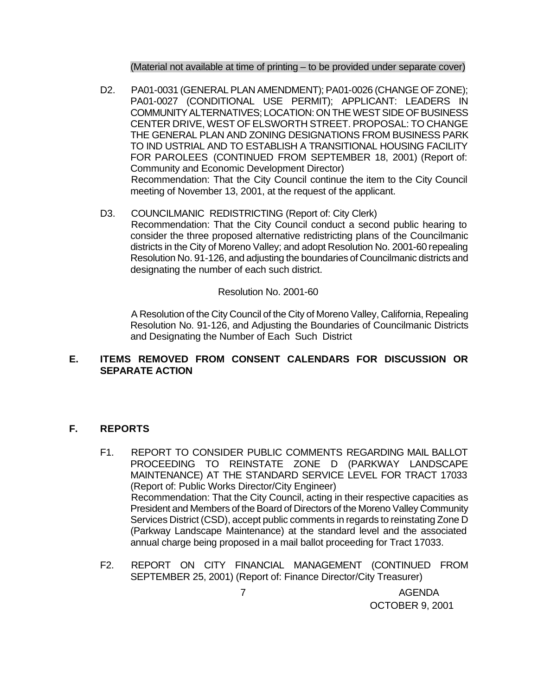(Material not available at time of printing – to be provided under separate cover)

- D2. PA01-0031 (GENERAL PLAN AMENDMENT); PA01-0026 (CHANGE OF ZONE); PA01-0027 (CONDITIONAL USE PERMIT); APPLICANT: LEADERS IN COMMUNITY ALTERNATIVES; LOCATION: ON THE WEST SIDE OF BUSINESS CENTER DRIVE, WEST OF ELSWORTH STREET. PROPOSAL: TO CHANGE THE GENERAL PLAN AND ZONING DESIGNATIONS FROM BUSINESS PARK TO IND USTRIAL AND TO ESTABLISH A TRANSITIONAL HOUSING FACILITY FOR PAROLEES (CONTINUED FROM SEPTEMBER 18, 2001) (Report of: Community and Economic Development Director) Recommendation: That the City Council continue the item to the City Council meeting of November 13, 2001, at the request of the applicant.
- D3. COUNCILMANIC REDISTRICTING (Report of: City Clerk) Recommendation: That the City Council conduct a second public hearing to consider the three proposed alternative redistricting plans of the Councilmanic districts in the City of Moreno Valley; and adopt Resolution No. 2001-60 repealing Resolution No. 91-126, and adjusting the boundaries of Councilmanic districts and designating the number of each such district.

Resolution No. 2001-60

A Resolution of the City Council of the City of Moreno Valley, California, Repealing Resolution No. 91-126, and Adjusting the Boundaries of Councilmanic Districts and Designating the Number of Each Such District

# **E. ITEMS REMOVED FROM CONSENT CALENDARS FOR DISCUSSION OR SEPARATE ACTION**

## **F. REPORTS**

- F1. REPORT TO CONSIDER PUBLIC COMMENTS REGARDING MAIL BALLOT PROCEEDING TO REINSTATE ZONE D (PARKWAY LANDSCAPE MAINTENANCE) AT THE STANDARD SERVICE LEVEL FOR TRACT 17033 (Report of: Public Works Director/City Engineer) Recommendation: That the City Council, acting in their respective capacities as President and Members of the Board of Directors of the Moreno Valley Community Services District (CSD), accept public comments in regards to reinstating Zone D (Parkway Landscape Maintenance) at the standard level and the associated annual charge being proposed in a mail ballot proceeding for Tract 17033.
- F2. REPORT ON CITY FINANCIAL MANAGEMENT (CONTINUED FROM SEPTEMBER 25, 2001) (Report of: Finance Director/City Treasurer)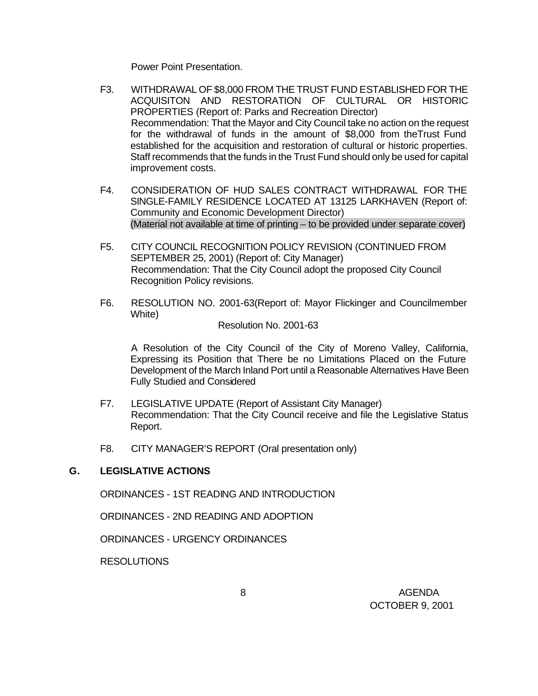Power Point Presentation.

- F3. WITHDRAWAL OF \$8,000 FROM THE TRUST FUND ESTABLISHED FOR THE ACQUISITON AND RESTORATION OF CULTURAL OR HISTORIC PROPERTIES (Report of: Parks and Recreation Director) Recommendation: That the Mayor and City Council take no action on the request for the withdrawal of funds in the amount of \$8,000 from theTrust Fund established for the acquisition and restoration of cultural or historic properties. Staff recommends that the funds in the Trust Fund should only be used for capital improvement costs.
- F4. CONSIDERATION OF HUD SALES CONTRACT WITHDRAWAL FOR THE SINGLE-FAMILY RESIDENCE LOCATED AT 13125 LARKHAVEN (Report of: Community and Economic Development Director) (Material not available at time of printing – to be provided under separate cover)
- F5. CITY COUNCIL RECOGNITION POLICY REVISION (CONTINUED FROM SEPTEMBER 25, 2001) (Report of: City Manager) Recommendation: That the City Council adopt the proposed City Council Recognition Policy revisions.
- F6. RESOLUTION NO. 2001-63(Report of: Mayor Flickinger and Councilmember White)

Resolution No. 2001-63

A Resolution of the City Council of the City of Moreno Valley, California, Expressing its Position that There be no Limitations Placed on the Future Development of the March Inland Port until a Reasonable Alternatives Have Been Fully Studied and Considered

- F7. LEGISLATIVE UPDATE (Report of Assistant City Manager) Recommendation: That the City Council receive and file the Legislative Status Report.
- F8. CITY MANAGER'S REPORT (Oral presentation only)

## **G. LEGISLATIVE ACTIONS**

ORDINANCES - 1ST READING AND INTRODUCTION

ORDINANCES - 2ND READING AND ADOPTION

ORDINANCES - URGENCY ORDINANCES

RESOLUTIONS

 8 AGENDA OCTOBER 9, 2001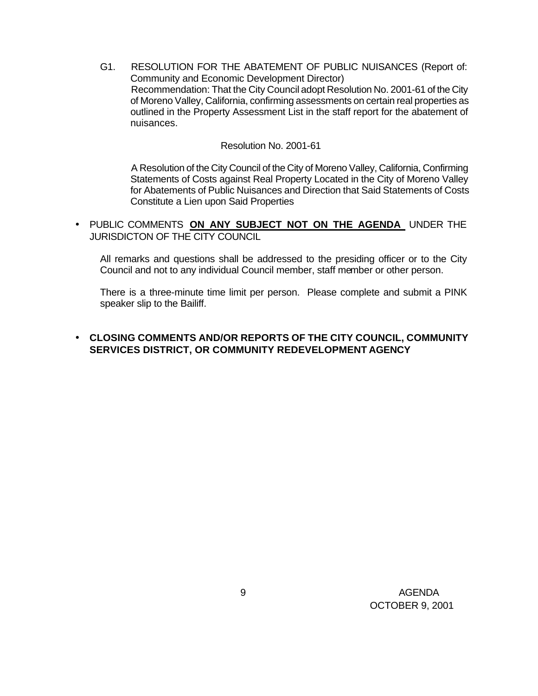G1. RESOLUTION FOR THE ABATEMENT OF PUBLIC NUISANCES (Report of: Community and Economic Development Director) Recommendation: That the City Council adopt Resolution No. 2001-61 of the City of Moreno Valley, California, confirming assessments on certain real properties as outlined in the Property Assessment List in the staff report for the abatement of nuisances.

#### Resolution No. 2001-61

A Resolution of the City Council of the City of Moreno Valley, California, Confirming Statements of Costs against Real Property Located in the City of Moreno Valley for Abatements of Public Nuisances and Direction that Said Statements of Costs Constitute a Lien upon Said Properties

• PUBLIC COMMENTS **ON ANY SUBJECT NOT ON THE AGENDA** UNDER THE JURISDICTON OF THE CITY COUNCIL

All remarks and questions shall be addressed to the presiding officer or to the City Council and not to any individual Council member, staff member or other person.

 There is a three-minute time limit per person. Please complete and submit a PINK speaker slip to the Bailiff.

### • **CLOSING COMMENTS AND/OR REPORTS OF THE CITY COUNCIL, COMMUNITY SERVICES DISTRICT, OR COMMUNITY REDEVELOPMENT AGENCY**